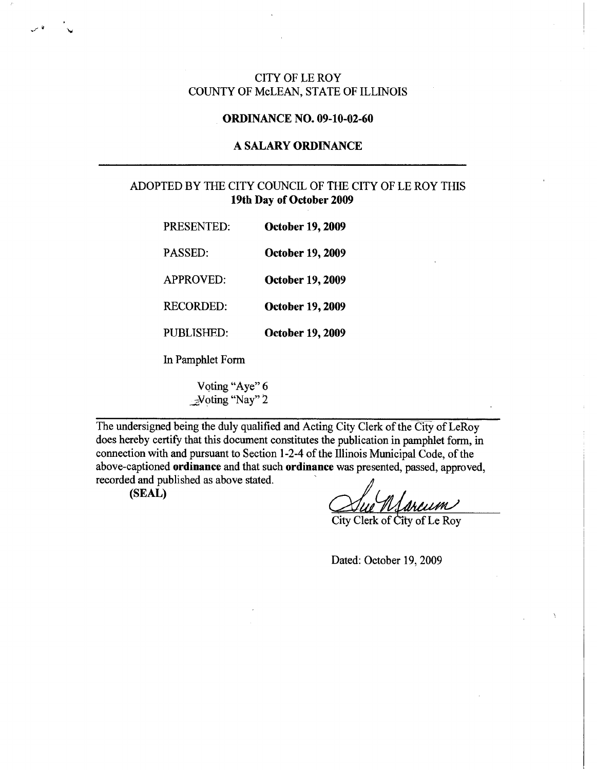## CITY OF LE ROY COUNTY OF McLEAN, STATE OF ILLINOIS

#### **ORDINANCE NO. 09-10-02-60**

### **A SALARY ORDINANCE**

# ADOPTED BY THE CITY COUNCIL OF THE CITY OF LE ROY THIS **19th Day of October 2009**

| PRESENTED:       | <b>October 19, 2009</b> |
|------------------|-------------------------|
| <b>PASSED:</b>   | October 19, 2009        |
| APPROVED:        | <b>October 19, 2009</b> |
| <b>RECORDED:</b> | <b>October 19, 2009</b> |

PUBLISHED: **October 19, 2009** 

In Pamphlet Form

Voting "Aye" 6 \_;,Voting "Nay" 2

The undersigned being the duly qualified and Acting City Clerk of the City of LeRoy does hereby certify that this document constitutes the publication in pamphlet form, in connection with and pursuant to Section 1-2-4 of the Illinois Municipal Code, of the above-captioned **ordinance** and that such **ordinance** was presented, passed, approved, recorded and published as above stated.

**(SEAL)** 

., 7 Nd

Sarcum

City Clerk of City of Le Roy

Dated: October 19, 2009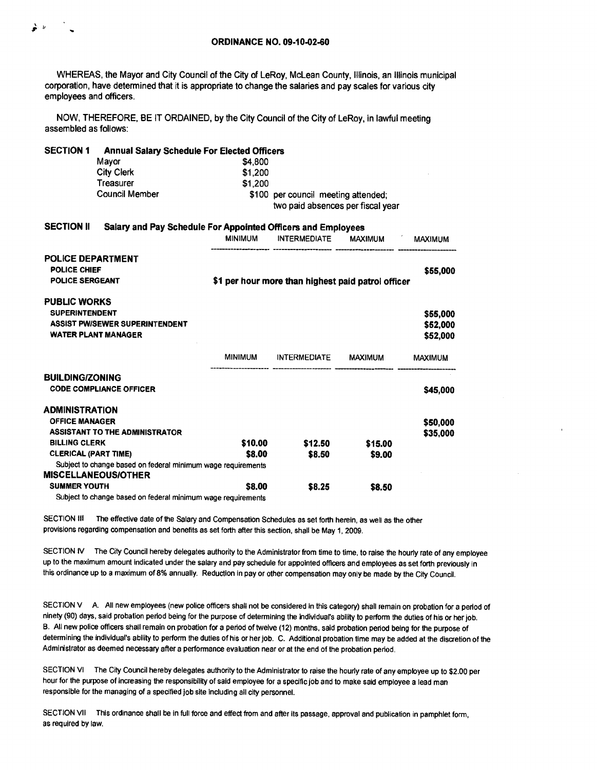WHEREAS, the Mayor and City Council of the City of LeRoy, McLean County, Illinois, an Illinois municipal corporation, have determined that it is appropriate to change the salaries and pay scales for various city employees and officers.

NOW, THEREFORE, BE IT ORDAINED, by the City Council of the City of LeRoy, in lawful meeting assembled as follows:

| <b>SECTION 1</b>            | <b>Annual Salary Schedule For Elected Officers</b>           |                                                              |                                     |         |                |  |  |
|-----------------------------|--------------------------------------------------------------|--------------------------------------------------------------|-------------------------------------|---------|----------------|--|--|
|                             | Mayor                                                        | \$4,800                                                      |                                     |         |                |  |  |
|                             | <b>City Clerk</b>                                            | \$1,200                                                      |                                     |         |                |  |  |
|                             | <b>Treasurer</b>                                             | \$1,200                                                      |                                     |         |                |  |  |
|                             | <b>Council Member</b>                                        |                                                              | \$100 per council meeting attended; |         |                |  |  |
|                             |                                                              | two paid absences per fiscal year                            |                                     |         |                |  |  |
| <b>SECTION II</b>           |                                                              | Salary and Pay Schedule For Appointed Officers and Employees |                                     |         |                |  |  |
|                             |                                                              | <b>MINIMUM</b>                                               | INTERMEDIATE MAXIMUM                |         | <b>MAXIMUM</b> |  |  |
| <b>POLICE DEPARTMENT</b>    |                                                              |                                                              |                                     |         |                |  |  |
| POLICE CHIEF                |                                                              |                                                              |                                     |         | \$55,000       |  |  |
| <b>POLICE SERGEANT</b>      |                                                              | \$1 per hour more than highest paid patrol officer           |                                     |         |                |  |  |
| <b>PUBLIC WORKS</b>         |                                                              |                                                              |                                     |         |                |  |  |
| <b>SUPERINTENDENT</b>       |                                                              |                                                              |                                     |         | \$55,000       |  |  |
|                             | <b>ASSIST PW/SEWER SUPERINTENDENT</b>                        |                                                              |                                     |         | \$52,000       |  |  |
|                             | <b>WATER PLANT MANAGER</b>                                   |                                                              |                                     |         | \$52,000       |  |  |
|                             |                                                              |                                                              | MINIMUM INTERMEDIATE MAXIMUM        |         | <b>MAXIMUM</b> |  |  |
| <b>BUILDING/ZONING</b>      |                                                              |                                                              |                                     |         |                |  |  |
|                             | <b>CODE COMPLIANCE OFFICER</b>                               |                                                              |                                     |         | \$45,000       |  |  |
| <b>ADMINISTRATION</b>       |                                                              |                                                              |                                     |         |                |  |  |
| <b>OFFICE MANAGER</b>       |                                                              |                                                              |                                     |         | \$50,000       |  |  |
|                             | <b>ASSISTANT TO THE ADMINISTRATOR</b>                        |                                                              |                                     |         | \$35,000       |  |  |
| <b>BILLING CLERK</b>        |                                                              | \$10.00                                                      | \$12.50                             | \$15.00 |                |  |  |
| <b>CLERICAL (PART TIME)</b> |                                                              | \$8.00                                                       | \$8.50                              | \$9.00  |                |  |  |
|                             | Subject to change based on federal minimum wage requirements |                                                              |                                     |         |                |  |  |
|                             | <b>MISCELLANEOUS/OTHER</b>                                   |                                                              |                                     |         |                |  |  |
| <b>SUMMER YOUTH</b>         |                                                              | \$8.00                                                       | \$8.25                              | \$8.50  |                |  |  |

Subject to change based on federal minimum wage requirements

SECTION III The effective date of the Salary and Compensation Schedules as set forth herein, as well as the other provisions regarding compensation and benefits as set forth after this section, shall be May 1, 2009.

SECTION IV The City Council hereby delegates authority to the Administrator from time to time, to raise the hourly rate of any employee up to the maximum amount indicated under the salary and pay schedule for appointed officers and employees as set forth previously in this ordinance up to a maximum of 8% annually. Reduction in pay or other compensation may only be made by the City Council.

SECTION V A. All new employees (new police officers shall not be considered in this category) shall remain on probation for a period of ninety (90) days, said probation period being for the purpose of determining the individual's ability to perform the duties of his or her job. B. All new police officers shall remain on probafion for a period of twelve (12) months, said probation period being for the purpose of determining the individual's ability to perform the duties of his or her job. C. Additional probation time may be added at the discretion of the Administrator as deemed necessary after a performance evaluation near or at the end of the probation period.

SECTION VI The City Council hereby delegates authority to the Administrator to raise the hourly rate of any employee up to \$2.00 per hour for the purpose of increasing the responsibility of said employee for a specific job and to make said employee a lead man responsible for the managing of a specified job site including all city personnel.

SECTION VII This ordinance shall be in full force and effect from and after its passage, approval and publication in pamphlet form, as required by law.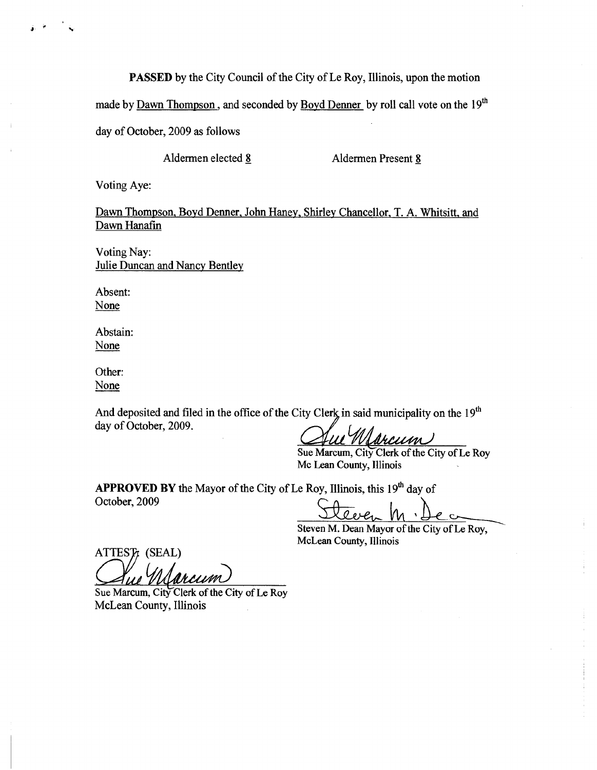PASSED by the City Council of the City of Le Roy, Illinois, upon the motion

made by Dawn Thompson, and seconded by Boyd Denner by roll call vote on the 19<sup>th</sup>

day of October, 2009 as follows

Aldermen elected 8 Aldermen Present 8

Voting Aye:

f,

Dawn Thompson, Boyd Denner, John Haney, Shirley Chancellor, T. A. Whitsitt, and Dawn Hanafin

Voting Nay: Julie Duncan and Nancy Bentley

Absent: None

Abstain: None

Other: None

And deposited and filed in the office of the City Clerk in said municipality on the  $19<sup>th</sup>$ day of October, 2009.

<u>arcum</u>

Sue Marcum, City Clerk of the City of Le Roy Mc Lean County, Illinois

APPROVED BY the Mayor of the City of Le Roy, Illinois, this  $19<sup>th</sup>$  day of October, 2009

Steven M. Dec

McLean County, Illinois

ATTEST: (SEAL) ue Marcum

Sue Marcum, City Clerk of the City of Le Roy McLean County, Illinois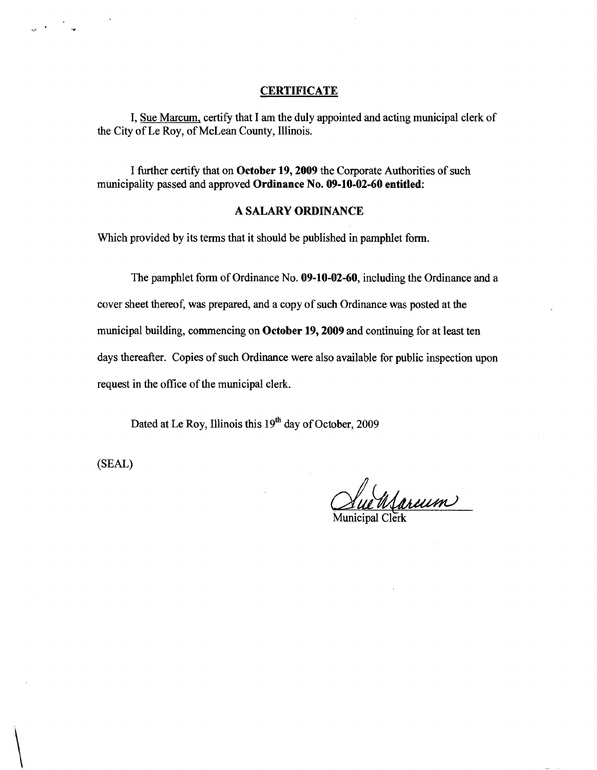### **CERTIFICATE**

I, Sue Marcum, certify that I am the duly appointed and acting municipal clerk of the City of Le Roy, of McLean County, Illinois.

I further certify that on October 19, 2009 the Corporate Authorities of such municipality passed and approved Ordinance No. 09-10-02-60 entitled:

#### A SALARY ORDINANCE

Which provided by its terms that it should be published in pamphlet form.

The pamphlet form of Ordinance No. 09-10-02-60, including the Ordinance and a

cover sheet thereof, was prepared, and a copy of such Ordinance was posted at the municipal building, commencing on October 19, 2009 and continuing for at least ten days thereafter. Copies of such Ordinance were also available for public inspection upon request in the office of the municipal clerk.

Dated at Le Roy, Illinois this  $19<sup>th</sup>$  day of October, 2009

(SEAL)

 $e^{i\omega t}$ 

Marcum

Municipal Clerk